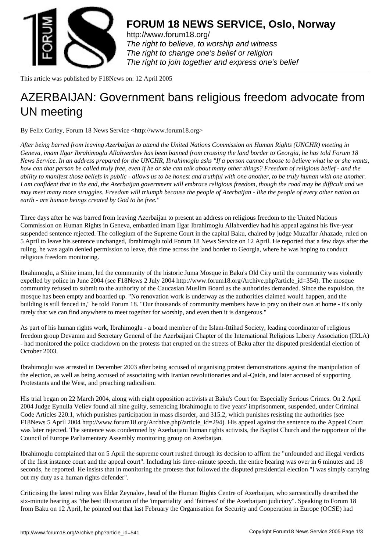

http://www.forum18.org/ The right to believe, to worship and witness The right to change one's belief or religion [The right to join together](http://www.forum18.org/) and express one's belief

This article was published by F18News on: 12 April 2005

## [AZERBAIJAN: Gov](http://www.forum18.org)ernment bans religious freedom advocate from UN meeting

By Felix Corley, Forum 18 News Service <http://www.forum18.org>

*After being barred from leaving Azerbaijan to attend the United Nations Commission on Human Rights (UNCHR) meeting in Geneva, imam Ilgar Ibrahimoglu Allahverdiev has been banned from crossing the land border to Georgia, he has told Forum 18 News Service. In an address prepared for the UNCHR, Ibrahimoglu asks "If a person cannot choose to believe what he or she wants, how can that person be called truly free, even if he or she can talk about many other things? Freedom of religious belief - and the ability to manifest those beliefs in public - allows us to be honest and truthful with one another, to be truly human with one another. I am confident that in the end, the Azerbaijan government will embrace religious freedom, though the road may be difficult and we may meet many more struggles. Freedom will triumph because the people of Azerbaijan - like the people of every other nation on earth - are human beings created by God to be free."*

Three days after he was barred from leaving Azerbaijan to present an address on religious freedom to the United Nations Commission on Human Rights in Geneva, embattled imam Ilgar Ibrahimoglu Allahverdiev had his appeal against his five-year suspended sentence rejected. The collegium of the Supreme Court in the capital Baku, chaired by judge Muzaffar Ahazade, ruled on 5 April to leave his sentence unchanged, Ibrahimoglu told Forum 18 News Service on 12 April. He reported that a few days after the ruling, he was again denied permission to leave, this time across the land border to Georgia, where he was hoping to conduct religious freedom monitoring.

Ibrahimoglu, a Shiite imam, led the community of the historic Juma Mosque in Baku's Old City until the community was violently expelled by police in June 2004 (see F18News 2 July 2004 http://www.forum18.org/Archive.php?article\_id=354). The mosque community refused to submit to the authority of the Caucasian Muslim Board as the authorities demanded. Since the expulsion, the mosque has been empty and boarded up. "No renovation work is underway as the authorities claimed would happen, and the building is still fenced in," he told Forum 18. "Our thousands of community members have to pray on their own at home - it's only rarely that we can find anywhere to meet together for worship, and even then it is dangerous."

As part of his human rights work, Ibrahimoglu - a board member of the Islam-Ittihad Society, leading coordinator of religious freedom group Devamm and Secretary General of the Azerbaijani Chapter of the International Religious Liberty Association (IRLA) - had monitored the police crackdown on the protests that erupted on the streets of Baku after the disputed presidential election of October 2003.

Ibrahimoglu was arrested in December 2003 after being accused of organising protest demonstrations against the manipulation of the election, as well as being accused of associating with Iranian revolutionaries and al-Qaida, and later accused of supporting Protestants and the West, and preaching radicalism.

His trial began on 22 March 2004, along with eight opposition activists at Baku's Court for Especially Serious Crimes. On 2 April 2004 Judge Eynulla Veliev found all nine guilty, sentencing Ibrahimoglu to five years' imprisonment, suspended, under Criminal Code Articles 220.1, which punishes participation in mass disorder, and 315.2, which punishes resisting the authorities (see F18News 5 April 2004 http://www.forum18.org/Archive.php?article\_id=294). His appeal against the sentence to the Appeal Court was later rejected. The sentence was condemned by Azerbaijani human rights activists, the Baptist Church and the rapporteur of the Council of Europe Parliamentary Assembly monitoring group on Azerbaijan.

Ibrahimoglu complained that on 5 April the supreme court rushed through its decision to affirm the "unfounded and illegal verdicts of the first instance court and the appeal court". Including his three-minute speech, the entire hearing was over in 6 minutes and 18 seconds, he reported. He insists that in monitoring the protests that followed the disputed presidential election "I was simply carrying out my duty as a human rights defender".

Criticising the latest ruling was Eldar Zeynalov, head of the Human Rights Centre of Azerbaijan, who sarcastically described the six-minute hearing as "the best illustration of the 'impartiality' and 'fairness' of the Azerbaijani judiciary". Speaking to Forum 18 from Baku on 12 April, he pointed out that last February the Organisation for Security and Cooperation in Europe (OCSE) had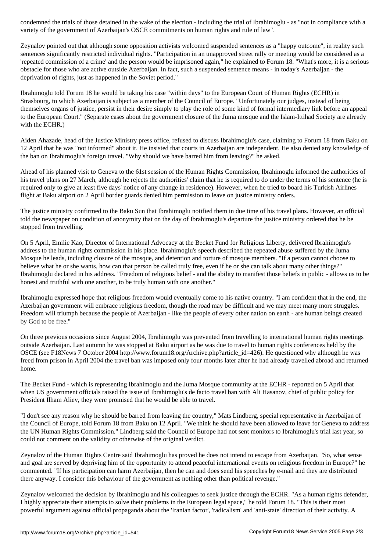variety of the government of Azerbaijan's OSCE commitments on human rights and rule of law".

Zeynalov pointed out that although some opposition activists welcomed suspended sentences as a "happy outcome", in reality such sentences significantly restricted individual rights. "Participation in an unapproved street rally or meeting would be considered as a 'repeated commission of a crime' and the person would be imprisoned again," he explained to Forum 18. "What's more, it is a serious obstacle for those who are active outside Azerbaijan. In fact, such a suspended sentence means - in today's Azerbaijan - the deprivation of rights, just as happened in the Soviet period."

Ibrahimoglu told Forum 18 he would be taking his case "within days" to the European Court of Human Rights (ECHR) in Strasbourg, to which Azerbaijan is subject as a member of the Council of Europe. "Unfortunately our judges, instead of being themselves organs of justice, persist in their desire simply to play the role of some kind of formal intermediary link before an appeal to the European Court." (Separate cases about the government closure of the Juma mosque and the Islam-Ittihad Society are already with the ECHR.)

Aiden Ahazade, head of the Justice Ministry press office, refused to discuss Ibrahimoglu's case, claiming to Forum 18 from Baku on 12 April that he was "not informed" about it. He insisted that courts in Azerbaijan are independent. He also denied any knowledge of the ban on Ibrahimoglu's foreign travel. "Why should we have barred him from leaving?" he asked.

Ahead of his planned visit to Geneva to the 61st session of the Human Rights Commission, Ibrahimoglu informed the authorities of his travel plans on 27 March, although he rejects the authorities' claim that he is required to do under the terms of his sentence (he is required only to give at least five days' notice of any change in residence). However, when he tried to board his Turkish Airlines flight at Baku airport on 2 April border guards denied him permission to leave on justice ministry orders.

The justice ministry confirmed to the Baku Sun that Ibrahimoglu notified them in due time of his travel plans. However, an official told the newspaper on condition of anonymity that on the day of Ibrahimoglu's departure the justice ministry ordered that he be stopped from travelling.

On 5 April, Emilie Kao, Director of International Advocacy at the Becket Fund for Religious Liberty, delivered Ibrahimoglu's address to the human rights commission in his place. Ibrahimoglu's speech described the repeated abuse suffered by the Juma Mosque he leads, including closure of the mosque, and detention and torture of mosque members. "If a person cannot choose to believe what he or she wants, how can that person be called truly free, even if he or she can talk about many other things?" Ibrahimoglu declared in his address. "Freedom of religious belief - and the ability to manifest those beliefs in public - allows us to be honest and truthful with one another, to be truly human with one another."

Ibrahimoglu expressed hope that religious freedom would eventually come to his native country. "I am confident that in the end, the Azerbaijan government will embrace religious freedom, though the road may be difficult and we may meet many more struggles. Freedom will triumph because the people of Azerbaijan - like the people of every other nation on earth - are human beings created by God to be free."

On three previous occasions since August 2004, Ibrahimoglu was prevented from travelling to international human rights meetings outside Azerbaijan. Last autumn he was stopped at Baku airport as he was due to travel to human rights conferences held by the OSCE (see F18News 7 October 2004 http://www.forum18.org/Archive.php?article\_id=426). He questioned why although he was freed from prison in April 2004 the travel ban was imposed only four months later after he had already travelled abroad and returned home.

The Becket Fund - which is representing Ibrahimoglu and the Juma Mosque community at the ECHR - reported on 5 April that when US government officials raised the issue of Ibrahimoglu's de facto travel ban with Ali Hasanov, chief of public policy for President Ilham Aliev, they were promised that he would be able to travel.

"I don't see any reason why he should be barred from leaving the country," Mats Lindberg, special representative in Azerbaijan of the Council of Europe, told Forum 18 from Baku on 12 April. "We think he should have been allowed to leave for Geneva to address the UN Human Rights Commission." Lindberg said the Council of Europe had not sent monitors to Ibrahimoglu's trial last year, so could not comment on the validity or otherwise of the original verdict.

Zeynalov of the Human Rights Centre said Ibrahimoglu has proved he does not intend to escape from Azerbaijan. "So, what sense and goal are served by depriving him of the opportunity to attend peaceful international events on religious freedom in Europe?" he commented. "If his participation can harm Azerbaijan, then he can and does send his speeches by e-mail and they are distributed there anyway. I consider this behaviour of the government as nothing other than political revenge."

Zeynalov welcomed the decision by Ibrahimoglu and his colleagues to seek justice through the ECHR. "As a human rights defender, I highly appreciate their attempts to solve their problems in the European legal space," he told Forum 18. "This is their most powerful argument against official propaganda about the 'Iranian factor', 'radicalism' and 'anti-state' direction of their activity. A